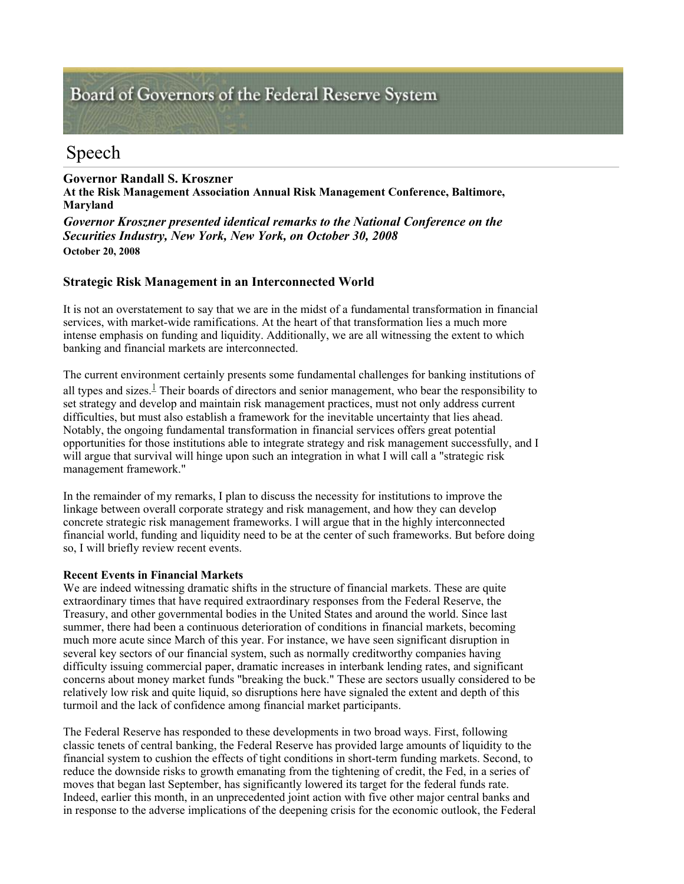# Board of Governors of the Federal Reserve System

## Speech

**Governor Randall S. Kroszner At the Risk Management Association Annual Risk Management Conference, Baltimore, Maryland** *Governor Kroszner presented identical remarks to the National Conference on the Securities Industry, New York, New York, on October 30, 2008* **October 20, 2008** 

### **Strategic Risk Management in an Interconnected World**

It is not an overstatement to say that we are in the midst of a fundamental transformation in financial services, with market-wide ramifications. At the heart of that transformation lies a much more intense emphasis on funding and liquidity. Additionally, we are all witnessing the extent to which banking and financial markets are interconnected.

The current environment certainly presents some fundamental challenges for banking institutions of all types and sizes. $\frac{1}{2}$  Their boards of directors and senior management, who bear the responsibility to set strategy and develop and maintain risk management practices, must not only address current difficulties, but must also establish a framework for the inevitable uncertainty that lies ahead. Notably, the ongoing fundamental transformation in financial services offers great potential opportunities for those institutions able to integrate strategy and risk management successfully, and I will argue that survival will hinge upon such an integration in what I will call a "strategic risk" management framework."

In the remainder of my remarks, I plan to discuss the necessity for institutions to improve the linkage between overall corporate strategy and risk management, and how they can develop concrete strategic risk management frameworks. I will argue that in the highly interconnected financial world, funding and liquidity need to be at the center of such frameworks. But before doing so, I will briefly review recent events.

#### **Recent Events in Financial Markets**

We are indeed witnessing dramatic shifts in the structure of financial markets. These are quite extraordinary times that have required extraordinary responses from the Federal Reserve, the Treasury, and other governmental bodies in the United States and around the world. Since last summer, there had been a continuous deterioration of conditions in financial markets, becoming much more acute since March of this year. For instance, we have seen significant disruption in several key sectors of our financial system, such as normally creditworthy companies having difficulty issuing commercial paper, dramatic increases in interbank lending rates, and significant concerns about money market funds "breaking the buck." These are sectors usually considered to be relatively low risk and quite liquid, so disruptions here have signaled the extent and depth of this turmoil and the lack of confidence among financial market participants.

The Federal Reserve has responded to these developments in two broad ways. First, following classic tenets of central banking, the Federal Reserve has provided large amounts of liquidity to the financial system to cushion the effects of tight conditions in short-term funding markets. Second, to reduce the downside risks to growth emanating from the tightening of credit, the Fed, in a series of moves that began last September, has significantly lowered its target for the federal funds rate. Indeed, earlier this month, in an unprecedented joint action with five other major central banks and in response to the adverse implications of the deepening crisis for the economic outlook, the Federal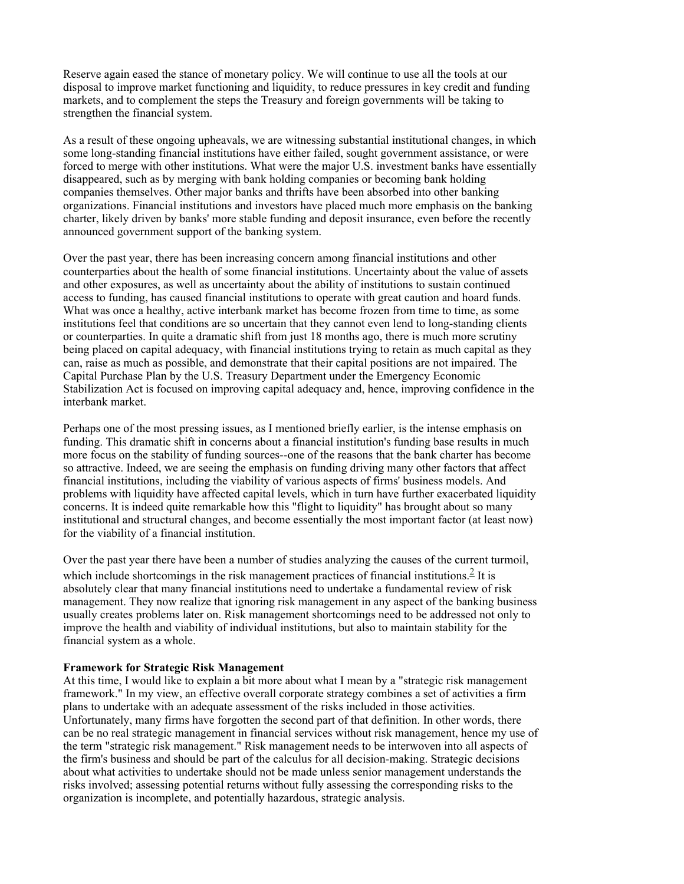Reserve again eased the stance of monetary policy. We will continue to use all the tools at our disposal to improve market functioning and liquidity, to reduce pressures in key credit and funding markets, and to complement the steps the Treasury and foreign governments will be taking to strengthen the financial system.

As a result of these ongoing upheavals, we are witnessing substantial institutional changes, in which some long-standing financial institutions have either failed, sought government assistance, or were forced to merge with other institutions. What were the major U.S. investment banks have essentially disappeared, such as by merging with bank holding companies or becoming bank holding companies themselves. Other major banks and thrifts have been absorbed into other banking organizations. Financial institutions and investors have placed much more emphasis on the banking charter, likely driven by banks' more stable funding and deposit insurance, even before the recently announced government support of the banking system.

Over the past year, there has been increasing concern among financial institutions and other counterparties about the health of some financial institutions. Uncertainty about the value of assets and other exposures, as well as uncertainty about the ability of institutions to sustain continued access to funding, has caused financial institutions to operate with great caution and hoard funds. What was once a healthy, active interbank market has become frozen from time to time, as some institutions feel that conditions are so uncertain that they cannot even lend to long-standing clients or counterparties. In quite a dramatic shift from just 18 months ago, there is much more scrutiny being placed on capital adequacy, with financial institutions trying to retain as much capital as they can, raise as much as possible, and demonstrate that their capital positions are not impaired. The Capital Purchase Plan by the U.S. Treasury Department under the Emergency Economic Stabilization Act is focused on improving capital adequacy and, hence, improving confidence in the interbank market.

Perhaps one of the most pressing issues, as I mentioned briefly earlier, is the intense emphasis on funding. This dramatic shift in concerns about a financial institution's funding base results in much more focus on the stability of funding sources--one of the reasons that the bank charter has become so attractive. Indeed, we are seeing the emphasis on funding driving many other factors that affect financial institutions, including the viability of various aspects of firms' business models. And problems with liquidity have affected capital levels, which in turn have further exacerbated liquidity concerns. It is indeed quite remarkable how this "flight to liquidity" has brought about so many institutional and structural changes, and become essentially the most important factor (at least now) for the viability of a financial institution.

Over the past year there have been a number of studies analyzing the causes of the current turmoil, which include shortcomings in the risk management practices of financial institutions. $\frac{2}{3}$  It is absolutely clear that many financial institutions need to undertake a fundamental review of risk management. They now realize that ignoring risk management in any aspect of the banking business usually creates problems later on. Risk management shortcomings need to be addressed not only to improve the health and viability of individual institutions, but also to maintain stability for the financial system as a whole.

#### **Framework for Strategic Risk Management**

At this time, I would like to explain a bit more about what I mean by a "strategic risk management framework." In my view, an effective overall corporate strategy combines a set of activities a firm plans to undertake with an adequate assessment of the risks included in those activities. Unfortunately, many firms have forgotten the second part of that definition. In other words, there can be no real strategic management in financial services without risk management, hence my use of the term "strategic risk management." Risk management needs to be interwoven into all aspects of the firm's business and should be part of the calculus for all decision-making. Strategic decisions about what activities to undertake should not be made unless senior management understands the risks involved; assessing potential returns without fully assessing the corresponding risks to the organization is incomplete, and potentially hazardous, strategic analysis.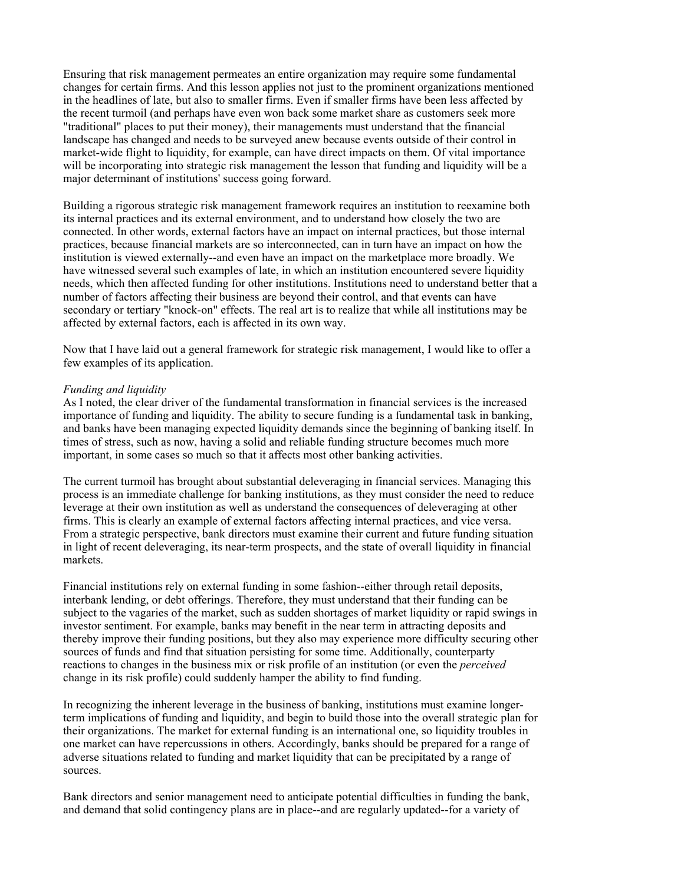Ensuring that risk management permeates an entire organization may require some fundamental changes for certain firms. And this lesson applies not just to the prominent organizations mentioned in the headlines of late, but also to smaller firms. Even if smaller firms have been less affected by the recent turmoil (and perhaps have even won back some market share as customers seek more "traditional" places to put their money), their managements must understand that the financial landscape has changed and needs to be surveyed anew because events outside of their control in market-wide flight to liquidity, for example, can have direct impacts on them. Of vital importance will be incorporating into strategic risk management the lesson that funding and liquidity will be a major determinant of institutions' success going forward.

Building a rigorous strategic risk management framework requires an institution to reexamine both its internal practices and its external environment, and to understand how closely the two are connected. In other words, external factors have an impact on internal practices, but those internal practices, because financial markets are so interconnected, can in turn have an impact on how the institution is viewed externally--and even have an impact on the marketplace more broadly. We have witnessed several such examples of late, in which an institution encountered severe liquidity needs, which then affected funding for other institutions. Institutions need to understand better that a number of factors affecting their business are beyond their control, and that events can have secondary or tertiary "knock-on" effects. The real art is to realize that while all institutions may be affected by external factors, each is affected in its own way.

Now that I have laid out a general framework for strategic risk management, I would like to offer a few examples of its application.

#### *Funding and liquidity*

As I noted, the clear driver of the fundamental transformation in financial services is the increased importance of funding and liquidity. The ability to secure funding is a fundamental task in banking, and banks have been managing expected liquidity demands since the beginning of banking itself. In times of stress, such as now, having a solid and reliable funding structure becomes much more important, in some cases so much so that it affects most other banking activities.

The current turmoil has brought about substantial deleveraging in financial services. Managing this process is an immediate challenge for banking institutions, as they must consider the need to reduce leverage at their own institution as well as understand the consequences of deleveraging at other firms. This is clearly an example of external factors affecting internal practices, and vice versa. From a strategic perspective, bank directors must examine their current and future funding situation in light of recent deleveraging, its near-term prospects, and the state of overall liquidity in financial markets.

Financial institutions rely on external funding in some fashion--either through retail deposits, interbank lending, or debt offerings. Therefore, they must understand that their funding can be subject to the vagaries of the market, such as sudden shortages of market liquidity or rapid swings in investor sentiment. For example, banks may benefit in the near term in attracting deposits and thereby improve their funding positions, but they also may experience more difficulty securing other sources of funds and find that situation persisting for some time. Additionally, counterparty reactions to changes in the business mix or risk profile of an institution (or even the *perceived* change in its risk profile) could suddenly hamper the ability to find funding.

In recognizing the inherent leverage in the business of banking, institutions must examine longerterm implications of funding and liquidity, and begin to build those into the overall strategic plan for their organizations. The market for external funding is an international one, so liquidity troubles in one market can have repercussions in others. Accordingly, banks should be prepared for a range of adverse situations related to funding and market liquidity that can be precipitated by a range of sources.

Bank directors and senior management need to anticipate potential difficulties in funding the bank, and demand that solid contingency plans are in place--and are regularly updated--for a variety of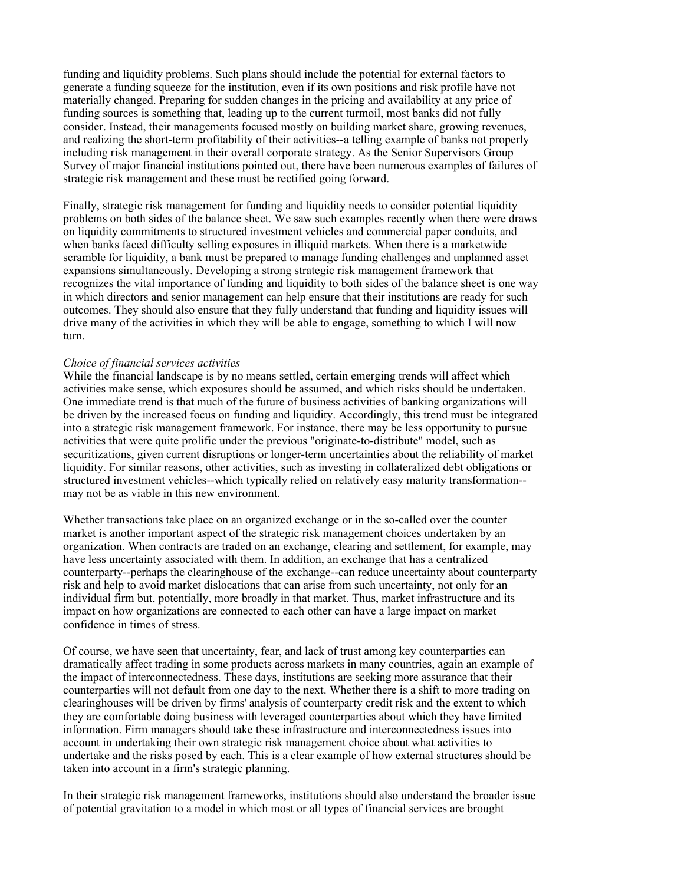funding and liquidity problems. Such plans should include the potential for external factors to generate a funding squeeze for the institution, even if its own positions and risk profile have not materially changed. Preparing for sudden changes in the pricing and availability at any price of funding sources is something that, leading up to the current turmoil, most banks did not fully consider. Instead, their managements focused mostly on building market share, growing revenues, and realizing the short-term profitability of their activities--a telling example of banks not properly including risk management in their overall corporate strategy. As the Senior Supervisors Group Survey of major financial institutions pointed out, there have been numerous examples of failures of strategic risk management and these must be rectified going forward.

Finally, strategic risk management for funding and liquidity needs to consider potential liquidity problems on both sides of the balance sheet. We saw such examples recently when there were draws on liquidity commitments to structured investment vehicles and commercial paper conduits, and when banks faced difficulty selling exposures in illiquid markets. When there is a marketwide scramble for liquidity, a bank must be prepared to manage funding challenges and unplanned asset expansions simultaneously. Developing a strong strategic risk management framework that recognizes the vital importance of funding and liquidity to both sides of the balance sheet is one way in which directors and senior management can help ensure that their institutions are ready for such outcomes. They should also ensure that they fully understand that funding and liquidity issues will drive many of the activities in which they will be able to engage, something to which I will now turn.

#### *Choice of financial services activities*

While the financial landscape is by no means settled, certain emerging trends will affect which activities make sense, which exposures should be assumed, and which risks should be undertaken. One immediate trend is that much of the future of business activities of banking organizations will be driven by the increased focus on funding and liquidity. Accordingly, this trend must be integrated into a strategic risk management framework. For instance, there may be less opportunity to pursue activities that were quite prolific under the previous "originate-to-distribute" model, such as securitizations, given current disruptions or longer-term uncertainties about the reliability of market liquidity. For similar reasons, other activities, such as investing in collateralized debt obligations or structured investment vehicles--which typically relied on relatively easy maturity transformation- may not be as viable in this new environment.

Whether transactions take place on an organized exchange or in the so-called over the counter market is another important aspect of the strategic risk management choices undertaken by an organization. When contracts are traded on an exchange, clearing and settlement, for example, may have less uncertainty associated with them. In addition, an exchange that has a centralized counterparty--perhaps the clearinghouse of the exchange--can reduce uncertainty about counterparty risk and help to avoid market dislocations that can arise from such uncertainty, not only for an individual firm but, potentially, more broadly in that market. Thus, market infrastructure and its impact on how organizations are connected to each other can have a large impact on market confidence in times of stress.

Of course, we have seen that uncertainty, fear, and lack of trust among key counterparties can dramatically affect trading in some products across markets in many countries, again an example of the impact of interconnectedness. These days, institutions are seeking more assurance that their counterparties will not default from one day to the next. Whether there is a shift to more trading on clearinghouses will be driven by firms' analysis of counterparty credit risk and the extent to which they are comfortable doing business with leveraged counterparties about which they have limited information. Firm managers should take these infrastructure and interconnectedness issues into account in undertaking their own strategic risk management choice about what activities to undertake and the risks posed by each. This is a clear example of how external structures should be taken into account in a firm's strategic planning.

In their strategic risk management frameworks, institutions should also understand the broader issue of potential gravitation to a model in which most or all types of financial services are brought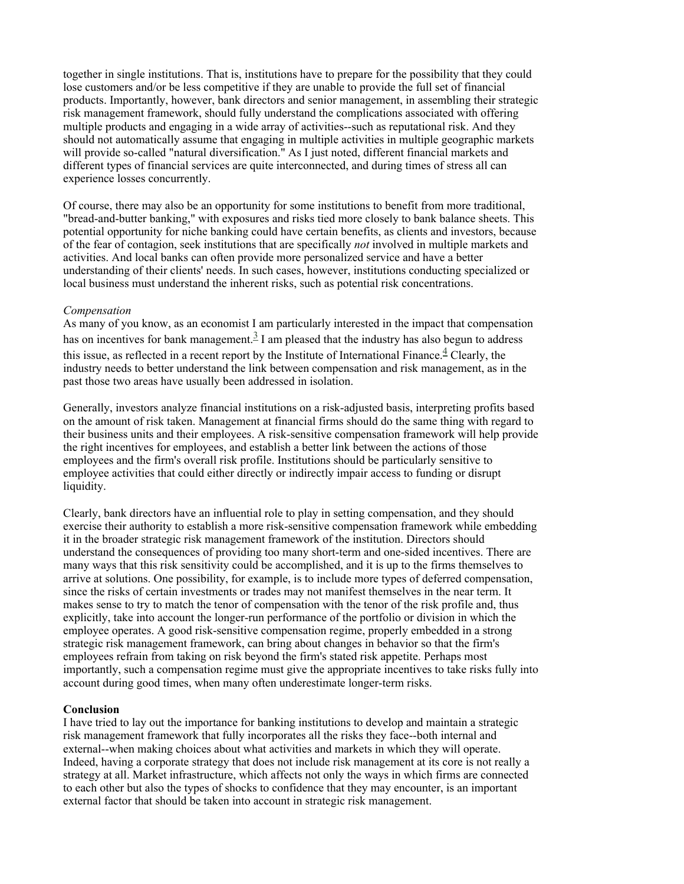together in single institutions. That is, institutions have to prepare for the possibility that they could lose customers and/or be less competitive if they are unable to provide the full set of financial products. Importantly, however, bank directors and senior management, in assembling their strategic risk management framework, should fully understand the complications associated with offering multiple products and engaging in a wide array of activities--such as reputational risk. And they should not automatically assume that engaging in multiple activities in multiple geographic markets will provide so-called "natural diversification." As I just noted, different financial markets and different types of financial services are quite interconnected, and during times of stress all can experience losses concurrently.

Of course, there may also be an opportunity for some institutions to benefit from more traditional, "bread-and-butter banking," with exposures and risks tied more closely to bank balance sheets. This potential opportunity for niche banking could have certain benefits, as clients and investors, because of the fear of contagion, seek institutions that are specifically *not* involved in multiple markets and activities. And local banks can often provide more personalized service and have a better understanding of their clients' needs. In such cases, however, institutions conducting specialized or local business must understand the inherent risks, such as potential risk concentrations.

#### *Compensation*

As many of you know, as an economist I am particularly interested in the impact that compensation has on incentives for bank management.<sup>3</sup> I am pleased that the industry has also begun to address this issue, as reflected in a recent report by the Institute of International Finance.<sup>4</sup> Clearly, the industry needs to better understand the link between compensation and risk management, as in the past those two areas have usually been addressed in isolation.

Generally, investors analyze financial institutions on a risk-adjusted basis, interpreting profits based on the amount of risk taken. Management at financial firms should do the same thing with regard to their business units and their employees. A risk-sensitive compensation framework will help provide the right incentives for employees, and establish a better link between the actions of those employees and the firm's overall risk profile. Institutions should be particularly sensitive to employee activities that could either directly or indirectly impair access to funding or disrupt liquidity.

Clearly, bank directors have an influential role to play in setting compensation, and they should exercise their authority to establish a more risk-sensitive compensation framework while embedding it in the broader strategic risk management framework of the institution. Directors should understand the consequences of providing too many short-term and one-sided incentives. There are many ways that this risk sensitivity could be accomplished, and it is up to the firms themselves to arrive at solutions. One possibility, for example, is to include more types of deferred compensation, since the risks of certain investments or trades may not manifest themselves in the near term. It makes sense to try to match the tenor of compensation with the tenor of the risk profile and, thus explicitly, take into account the longer-run performance of the portfolio or division in which the employee operates. A good risk-sensitive compensation regime, properly embedded in a strong strategic risk management framework, can bring about changes in behavior so that the firm's employees refrain from taking on risk beyond the firm's stated risk appetite. Perhaps most importantly, such a compensation regime must give the appropriate incentives to take risks fully into account during good times, when many often underestimate longer-term risks.

#### **Conclusion**

I have tried to lay out the importance for banking institutions to develop and maintain a strategic risk management framework that fully incorporates all the risks they face--both internal and external--when making choices about what activities and markets in which they will operate. Indeed, having a corporate strategy that does not include risk management at its core is not really a strategy at all. Market infrastructure, which affects not only the ways in which firms are connected to each other but also the types of shocks to confidence that they may encounter, is an important external factor that should be taken into account in strategic risk management.